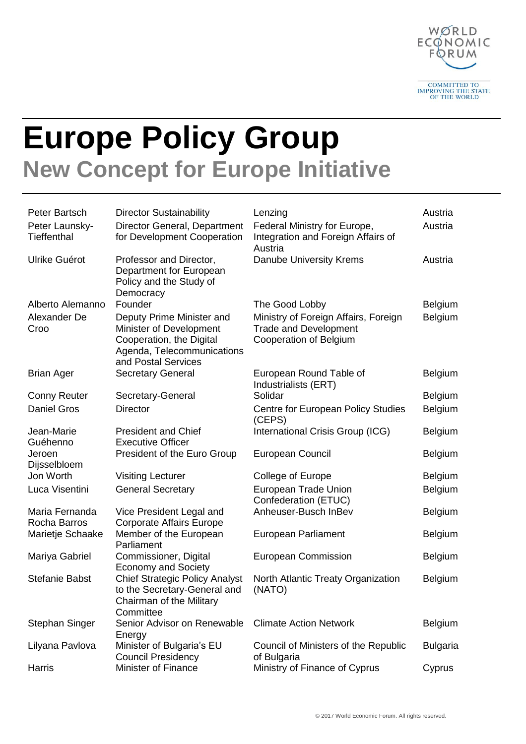

## **Europe Policy Group New Concept for Europe Initiative**

| Peter Bartsch<br>Peter Launsky-<br><b>Tieffenthal</b> | <b>Director Sustainability</b><br>Director General, Department<br>for Development Cooperation                                         | Lenzing<br>Federal Ministry for Europe,<br>Integration and Foreign Affairs of<br>Austria       | Austria<br>Austria |
|-------------------------------------------------------|---------------------------------------------------------------------------------------------------------------------------------------|------------------------------------------------------------------------------------------------|--------------------|
| Ulrike Guérot                                         | Professor and Director,<br>Department for European<br>Policy and the Study of<br>Democracy                                            | Danube University Krems                                                                        | Austria            |
| Alberto Alemanno                                      | Founder                                                                                                                               | The Good Lobby                                                                                 | <b>Belgium</b>     |
| Alexander De<br>Croo                                  | Deputy Prime Minister and<br>Minister of Development<br>Cooperation, the Digital<br>Agenda, Telecommunications<br>and Postal Services | Ministry of Foreign Affairs, Foreign<br><b>Trade and Development</b><br>Cooperation of Belgium | Belgium            |
| <b>Brian Ager</b>                                     | <b>Secretary General</b>                                                                                                              | European Round Table of<br>Industrialists (ERT)                                                | <b>Belgium</b>     |
| <b>Conny Reuter</b>                                   | Secretary-General                                                                                                                     | Solidar                                                                                        | Belgium            |
| <b>Daniel Gros</b>                                    | <b>Director</b>                                                                                                                       | <b>Centre for European Policy Studies</b><br>(CEPS)                                            | Belgium            |
| Jean-Marie<br>Guéhenno                                | <b>President and Chief</b><br><b>Executive Officer</b>                                                                                | International Crisis Group (ICG)                                                               | <b>Belgium</b>     |
| Jeroen<br>Dijsselbloem                                | President of the Euro Group                                                                                                           | European Council                                                                               | <b>Belgium</b>     |
| Jon Worth                                             | <b>Visiting Lecturer</b>                                                                                                              | College of Europe                                                                              | <b>Belgium</b>     |
| Luca Visentini                                        | <b>General Secretary</b>                                                                                                              | European Trade Union<br>Confederation (ETUC)                                                   | Belgium            |
| Maria Fernanda<br>Rocha Barros                        | Vice President Legal and<br><b>Corporate Affairs Europe</b>                                                                           | Anheuser-Busch InBev                                                                           | <b>Belgium</b>     |
| Marietje Schaake                                      | Member of the European<br>Parliament                                                                                                  | <b>European Parliament</b>                                                                     | <b>Belgium</b>     |
| Mariya Gabriel                                        | Commissioner, Digital<br><b>Economy and Society</b>                                                                                   | <b>European Commission</b>                                                                     | <b>Belgium</b>     |
| <b>Stefanie Babst</b>                                 | <b>Chief Strategic Policy Analyst</b><br>to the Secretary-General and<br>Chairman of the Military<br>Committee                        | North Atlantic Treaty Organization<br>(NATO)                                                   | <b>Belgium</b>     |
| <b>Stephan Singer</b>                                 | Senior Advisor on Renewable<br>Energy                                                                                                 | <b>Climate Action Network</b>                                                                  | <b>Belgium</b>     |
| Lilyana Pavlova                                       | Minister of Bulgaria's EU<br><b>Council Presidency</b>                                                                                | Council of Ministers of the Republic<br>of Bulgaria                                            | <b>Bulgaria</b>    |
| Harris                                                | <b>Minister of Finance</b>                                                                                                            | Ministry of Finance of Cyprus                                                                  | Cyprus             |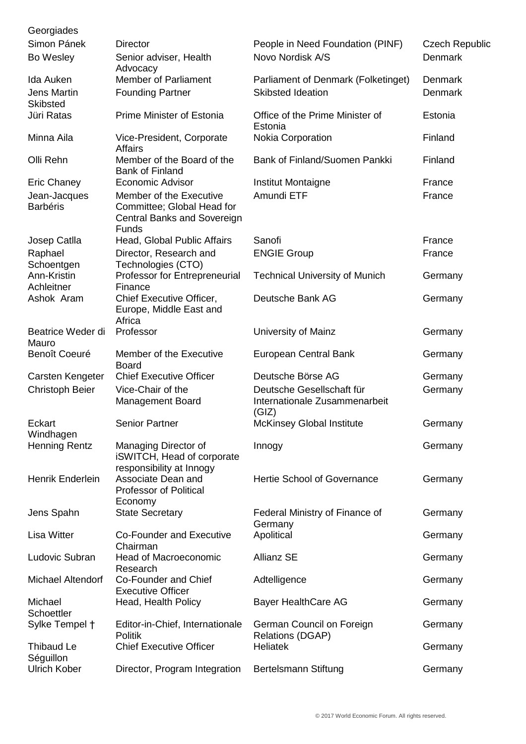| Georgiades                            |                                                                                                      |                                                                     |                       |
|---------------------------------------|------------------------------------------------------------------------------------------------------|---------------------------------------------------------------------|-----------------------|
| Simon Pánek                           | <b>Director</b>                                                                                      | People in Need Foundation (PINF)                                    | <b>Czech Republic</b> |
| Bo Wesley                             | Senior adviser, Health<br>Advocacy                                                                   | Novo Nordisk A/S                                                    | Denmark               |
| Ida Auken                             | <b>Member of Parliament</b>                                                                          | Parliament of Denmark (Folketinget)                                 | <b>Denmark</b>        |
| <b>Jens Martin</b><br><b>Skibsted</b> | <b>Founding Partner</b>                                                                              | <b>Skibsted Ideation</b>                                            | Denmark               |
| Jüri Ratas                            | <b>Prime Minister of Estonia</b>                                                                     | Office of the Prime Minister of<br>Estonia                          | Estonia               |
| Minna Aila                            | Vice-President, Corporate<br><b>Affairs</b>                                                          | Nokia Corporation                                                   | Finland               |
| Olli Rehn                             | Member of the Board of the<br><b>Bank of Finland</b>                                                 | Bank of Finland/Suomen Pankki                                       | Finland               |
| <b>Eric Chaney</b>                    | <b>Economic Advisor</b>                                                                              | Institut Montaigne                                                  | France                |
| Jean-Jacques<br><b>Barbéris</b>       | Member of the Executive<br>Committee; Global Head for<br><b>Central Banks and Sovereign</b><br>Funds | Amundi ETF                                                          | France                |
| Josep Catlla                          | Head, Global Public Affairs                                                                          | Sanofi                                                              | France                |
| Raphael<br>Schoentgen                 | Director, Research and<br>Technologies (CTO)                                                         | <b>ENGIE Group</b>                                                  | France                |
| Ann-Kristin<br>Achleitner             | Professor for Entrepreneurial<br>Finance                                                             | <b>Technical University of Munich</b>                               | Germany               |
| Ashok Aram                            | Chief Executive Officer,<br>Europe, Middle East and<br>Africa                                        | Deutsche Bank AG                                                    | Germany               |
| Beatrice Weder di<br>Mauro            | Professor                                                                                            | University of Mainz                                                 | Germany               |
| Benoît Coeuré                         | Member of the Executive<br><b>Board</b>                                                              | European Central Bank                                               | Germany               |
| Carsten Kengeter                      | <b>Chief Executive Officer</b>                                                                       | Deutsche Börse AG                                                   | Germany               |
| <b>Christoph Beier</b>                | Vice-Chair of the<br><b>Management Board</b>                                                         | Deutsche Gesellschaft für<br>Internationale Zusammenarbeit<br>(GIZ) | Germany               |
| Eckart<br>Windhagen                   | <b>Senior Partner</b>                                                                                | McKinsey Global Institute                                           | Germany               |
| <b>Henning Rentz</b>                  | Managing Director of<br><b>iSWITCH, Head of corporate</b><br>responsibility at Innogy                | Innogy                                                              | Germany               |
| Henrik Enderlein                      | Associate Dean and<br><b>Professor of Political</b><br>Economy                                       | <b>Hertie School of Governance</b>                                  | Germany               |
| Jens Spahn                            | <b>State Secretary</b>                                                                               | Federal Ministry of Finance of<br>Germany                           | Germany               |
| Lisa Witter                           | <b>Co-Founder and Executive</b><br>Chairman                                                          | Apolitical                                                          | Germany               |
| Ludovic Subran                        | Head of Macroeconomic<br>Research                                                                    | <b>Allianz SE</b>                                                   | Germany               |
| <b>Michael Altendorf</b>              | Co-Founder and Chief<br><b>Executive Officer</b>                                                     | Adtelligence                                                        | Germany               |
| Michael<br>Schoettler                 | Head, Health Policy                                                                                  | <b>Bayer HealthCare AG</b>                                          | Germany               |
| Sylke Tempel +                        | Editor-in-Chief, Internationale<br><b>Politik</b>                                                    | German Council on Foreign<br><b>Relations (DGAP)</b>                | Germany               |
| Thibaud Le<br>Séguillon               | <b>Chief Executive Officer</b>                                                                       | <b>Heliatek</b>                                                     | Germany               |
| <b>Ulrich Kober</b>                   | Director, Program Integration                                                                        | Bertelsmann Stiftung                                                | Germany               |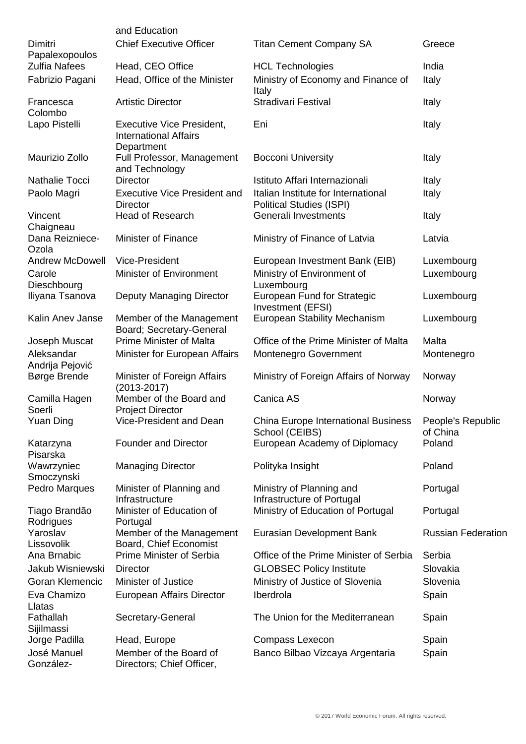|                               | and Education                                                                  |                                                                        |                               |
|-------------------------------|--------------------------------------------------------------------------------|------------------------------------------------------------------------|-------------------------------|
| Dimitri<br>Papalexopoulos     | <b>Chief Executive Officer</b>                                                 | <b>Titan Cement Company SA</b>                                         | Greece                        |
| <b>Zulfia Nafees</b>          | Head, CEO Office                                                               | <b>HCL Technologies</b>                                                | India                         |
| Fabrizio Pagani               | Head, Office of the Minister                                                   | Ministry of Economy and Finance of<br>Italy                            | Italy                         |
| Francesca<br>Colombo          | <b>Artistic Director</b>                                                       | <b>Stradivari Festival</b>                                             | Italy                         |
| Lapo Pistelli                 | <b>Executive Vice President,</b><br><b>International Affairs</b><br>Department | Eni                                                                    | Italy                         |
| Maurizio Zollo                | Full Professor, Management<br>and Technology                                   | <b>Bocconi University</b>                                              | Italy                         |
| Nathalie Tocci                | <b>Director</b>                                                                | Istituto Affari Internazionali                                         | Italy                         |
| Paolo Magri                   | <b>Executive Vice President and</b><br><b>Director</b>                         | Italian Institute for International<br><b>Political Studies (ISPI)</b> | Italy                         |
| Vincent<br>Chaigneau          | <b>Head of Research</b>                                                        | Generali Investments                                                   | Italy                         |
| Dana Reizniece-<br>Ozola      | <b>Minister of Finance</b>                                                     | Ministry of Finance of Latvia                                          | Latvia                        |
| <b>Andrew McDowell</b>        | Vice-President                                                                 | European Investment Bank (EIB)                                         | Luxembourg                    |
| Carole<br>Dieschbourg         | <b>Minister of Environment</b>                                                 | Ministry of Environment of<br>Luxembourg                               | Luxembourg                    |
| Iliyana Tsanova               | Deputy Managing Director                                                       | European Fund for Strategic<br>Investment (EFSI)                       | Luxembourg                    |
| Kalin Anev Janse              | Member of the Management<br>Board; Secretary-General                           | <b>European Stability Mechanism</b>                                    | Luxembourg                    |
| Joseph Muscat                 | <b>Prime Minister of Malta</b>                                                 | Office of the Prime Minister of Malta                                  | Malta                         |
| Aleksandar<br>Andrija Pejović | Minister for European Affairs                                                  | Montenegro Government                                                  | Montenegro                    |
| Børge Brende                  | Minister of Foreign Affairs<br>$(2013 - 2017)$                                 | Ministry of Foreign Affairs of Norway                                  | Norway                        |
| Camilla Hagen<br>Soerli       | Member of the Board and<br><b>Project Director</b>                             | Canica AS                                                              | Norway                        |
| <b>Yuan Ding</b>              | Vice-President and Dean                                                        | <b>China Europe International Business</b><br>School (CEIBS)           | People's Republic<br>of China |
| Katarzyna<br>Pisarska         | <b>Founder and Director</b>                                                    | European Academy of Diplomacy                                          | Poland                        |
| Wawrzyniec<br>Smoczynski      | <b>Managing Director</b>                                                       | Polityka Insight                                                       | Poland                        |
| Pedro Marques                 | Minister of Planning and<br>Infrastructure                                     | Ministry of Planning and<br>Infrastructure of Portugal                 | Portugal                      |
| Tiago Brandão<br>Rodrigues    | Minister of Education of<br>Portugal                                           | Ministry of Education of Portugal                                      | Portugal                      |
| Yaroslav<br>Lissovolik        | Member of the Management<br>Board, Chief Economist                             | Eurasian Development Bank                                              | <b>Russian Federation</b>     |
| Ana Brnabic                   | Prime Minister of Serbia                                                       | Office of the Prime Minister of Serbia                                 | Serbia                        |
| Jakub Wisniewski              | <b>Director</b>                                                                | <b>GLOBSEC Policy Institute</b>                                        | Slovakia                      |
| Goran Klemencic               | Minister of Justice                                                            | Ministry of Justice of Slovenia                                        | Slovenia                      |
| Eva Chamizo<br>Llatas         | European Affairs Director                                                      | Iberdrola                                                              | Spain                         |
| Fathallah<br>Sijilmassi       | Secretary-General                                                              | The Union for the Mediterranean                                        | Spain                         |
| Jorge Padilla                 | Head, Europe                                                                   | Compass Lexecon                                                        | Spain                         |
| José Manuel<br>González-      | Member of the Board of<br>Directors; Chief Officer,                            | Banco Bilbao Vizcaya Argentaria                                        | Spain                         |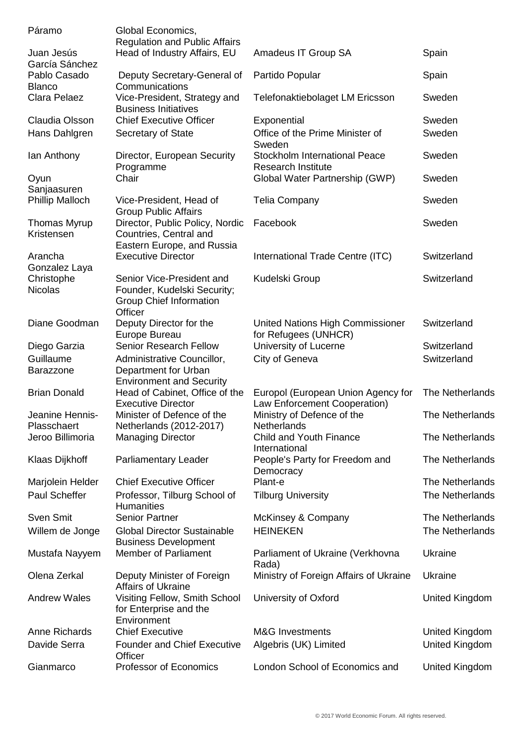| Páramo                 | Global Economics,                    |                                        |                        |
|------------------------|--------------------------------------|----------------------------------------|------------------------|
|                        | <b>Regulation and Public Affairs</b> |                                        |                        |
| Juan Jesús             | Head of Industry Affairs, EU         | Amadeus IT Group SA                    | Spain                  |
| García Sánchez         |                                      |                                        |                        |
| Pablo Casado           | Deputy Secretary-General of          | Partido Popular                        | Spain                  |
| <b>Blanco</b>          | Communications                       |                                        |                        |
| Clara Pelaez           | Vice-President, Strategy and         | Telefonaktiebolaget LM Ericsson        | Sweden                 |
|                        | <b>Business Initiatives</b>          |                                        |                        |
| Claudia Olsson         | <b>Chief Executive Officer</b>       | Exponential                            | Sweden                 |
| Hans Dahlgren          | Secretary of State                   | Office of the Prime Minister of        | Sweden                 |
|                        |                                      | Sweden                                 |                        |
| lan Anthony            | Director, European Security          | <b>Stockholm International Peace</b>   | Sweden                 |
|                        | Programme                            | <b>Research Institute</b>              |                        |
| Oyun                   | Chair                                | Global Water Partnership (GWP)         | Sweden                 |
| Sanjaasuren            |                                      |                                        |                        |
| <b>Phillip Malloch</b> | Vice-President, Head of              | <b>Telia Company</b>                   | Sweden                 |
|                        | <b>Group Public Affairs</b>          |                                        |                        |
| <b>Thomas Myrup</b>    | Director, Public Policy, Nordic      | Facebook                               | Sweden                 |
| Kristensen             | Countries, Central and               |                                        |                        |
|                        | Eastern Europe, and Russia           |                                        |                        |
| Arancha                | <b>Executive Director</b>            | International Trade Centre (ITC)       | Switzerland            |
| Gonzalez Laya          |                                      |                                        |                        |
| Christophe             | Senior Vice-President and            | Kudelski Group                         | Switzerland            |
| <b>Nicolas</b>         | Founder, Kudelski Security;          |                                        |                        |
|                        | Group Chief Information              |                                        |                        |
|                        | Officer                              |                                        |                        |
| Diane Goodman          | Deputy Director for the              | United Nations High Commissioner       | Switzerland            |
|                        | Europe Bureau                        | for Refugees (UNHCR)                   |                        |
| Diego Garzia           | <b>Senior Research Fellow</b>        | University of Lucerne                  | Switzerland            |
| Guillaume              | Administrative Councillor,           | City of Geneva                         | Switzerland            |
| <b>Barazzone</b>       | Department for Urban                 |                                        |                        |
|                        | <b>Environment and Security</b>      |                                        |                        |
| <b>Brian Donald</b>    | Head of Cabinet, Office of the       | Europol (European Union Agency for     | The Netherlands        |
|                        | <b>Executive Director</b>            | Law Enforcement Cooperation)           |                        |
| Jeanine Hennis-        | Minister of Defence of the           | Ministry of Defence of the             | <b>The Netherlands</b> |
| Plasschaert            | Netherlands (2012-2017)              | Netherlands                            |                        |
| Jeroo Billimoria       | <b>Managing Director</b>             | <b>Child and Youth Finance</b>         | <b>The Netherlands</b> |
|                        |                                      | International                          |                        |
| Klaas Dijkhoff         | <b>Parliamentary Leader</b>          | People's Party for Freedom and         | <b>The Netherlands</b> |
|                        |                                      | Democracy                              |                        |
| Marjolein Helder       | <b>Chief Executive Officer</b>       | Plant-e                                | <b>The Netherlands</b> |
| Paul Scheffer          | Professor, Tilburg School of         | <b>Tilburg University</b>              | <b>The Netherlands</b> |
|                        | <b>Humanities</b>                    |                                        |                        |
| Sven Smit              | <b>Senior Partner</b>                | McKinsey & Company                     | <b>The Netherlands</b> |
| Willem de Jonge        | <b>Global Director Sustainable</b>   | <b>HEINEKEN</b>                        | <b>The Netherlands</b> |
|                        | <b>Business Development</b>          |                                        |                        |
| Mustafa Nayyem         | <b>Member of Parliament</b>          | Parliament of Ukraine (Verkhovna       | Ukraine                |
|                        |                                      | Rada)                                  |                        |
| Olena Zerkal           | Deputy Minister of Foreign           | Ministry of Foreign Affairs of Ukraine | Ukraine                |
|                        | <b>Affairs of Ukraine</b>            |                                        |                        |
| <b>Andrew Wales</b>    | Visiting Fellow, Smith School        | University of Oxford                   | United Kingdom         |
|                        | for Enterprise and the               |                                        |                        |
|                        | Environment                          |                                        |                        |
| Anne Richards          | <b>Chief Executive</b>               | <b>M&amp;G Investments</b>             | United Kingdom         |
| Davide Serra           | <b>Founder and Chief Executive</b>   | Algebris (UK) Limited                  | United Kingdom         |
|                        | Officer                              |                                        |                        |
| Gianmarco              | <b>Professor of Economics</b>        | London School of Economics and         | United Kingdom         |
|                        |                                      |                                        |                        |